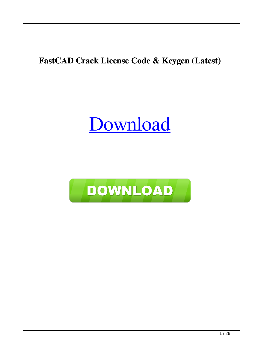#### **FastCAD Crack License Code & Keygen (Latest)**

### [Download](http://evacdir.com/housemaster/sand.butterfly?overlapped=/RmFzdENBRARmF/southernmost.ZG93bmxvYWR8Tlo2T0dkb1pueDhNVFkxTkRRek5qWTFPSHg4TWpVNU1IeDhLRTBwSUZkdmNtUndjbVZ6Y3lCYldFMU1VbEJESUZZeUlGQkVSbDA/)

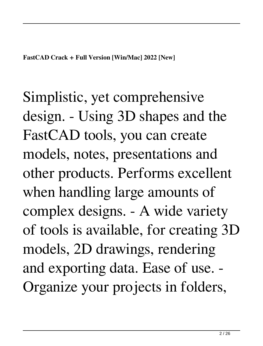Simplistic, yet comprehensive design. - Using 3D shapes and the FastCAD tools, you can create models, notes, presentations and other products. Performs excellent when handling large amounts of complex designs. - A wide variety of tools is available, for creating 3D models, 2D drawings, rendering and exporting data. Ease of use. - Organize your projects in folders,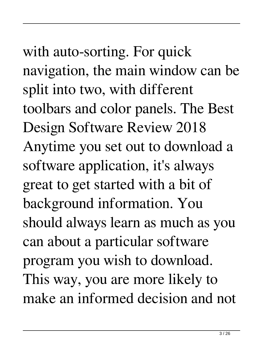with auto-sorting. For quick navigation, the main window can be split into two, with different toolbars and color panels. The Best Design Software Review 2018 Anytime you set out to download a software application, it's always great to get started with a bit of background information. You should always learn as much as you can about a particular software program you wish to download. This way, you are more likely to make an informed decision and not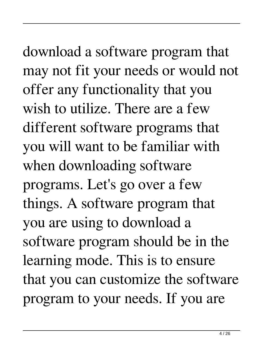download a software program that may not fit your needs or would not offer any functionality that you wish to utilize. There are a few different software programs that you will want to be familiar with when downloading software programs. Let's go over a few things. A software program that you are using to download a software program should be in the learning mode. This is to ensure that you can customize the software program to your needs. If you are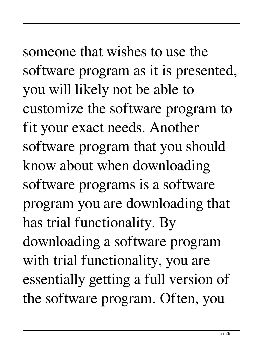## someone that wishes to use the software program as it is presented,

you will likely not be able to customize the software program to fit your exact needs. Another software program that you should know about when downloading software programs is a software program you are downloading that has trial functionality. By downloading a software program with trial functionality, you are essentially getting a full version of the software program. Often, you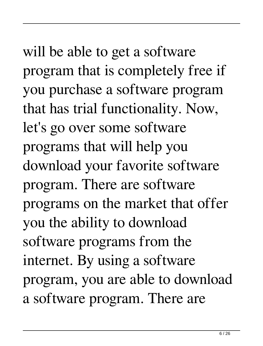will be able to get a software program that is completely free if you purchase a software program that has trial functionality. Now, let's go over some software programs that will help you download your favorite software program. There are software programs on the market that offer you the ability to download software programs from the internet. By using a software program, you are able to download a software program. There are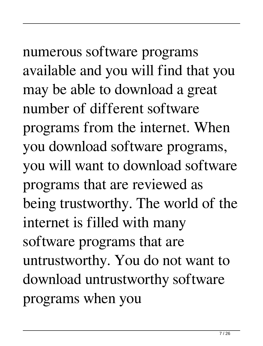numerous software programs available and you will find that you may be able to download a great number of different software programs from the internet. When you download software programs, you will want to download software programs that are reviewed as being trustworthy. The world of the internet is filled with many software programs that are untrustworthy. You do not want to download untrustworthy software programs when you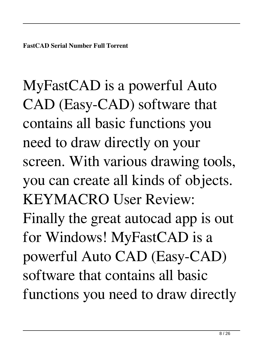MyFastCAD is a powerful Auto CAD (Easy-CAD) software that contains all basic functions you need to draw directly on your screen. With various drawing tools, you can create all kinds of objects. KEYMACRO User Review: Finally the great autocad app is out for Windows! MyFastCAD is a powerful Auto CAD (Easy-CAD) software that contains all basic functions you need to draw directly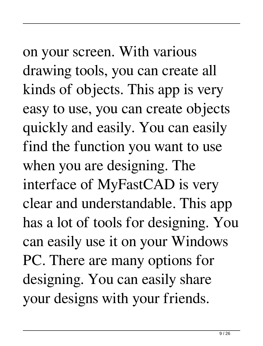on your screen. With various drawing tools, you can create all kinds of objects. This app is very easy to use, you can create objects quickly and easily. You can easily find the function you want to use when you are designing. The interface of MyFastCAD is very clear and understandable. This app has a lot of tools for designing. You can easily use it on your Windows PC. There are many options for designing. You can easily share your designs with your friends.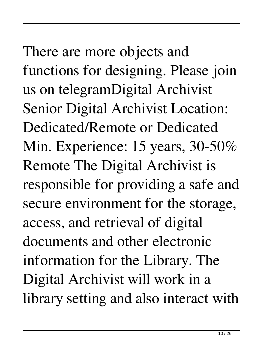There are more objects and functions for designing. Please join us on telegramDigital Archivist Senior Digital Archivist Location: Dedicated/Remote or Dedicated Min. Experience: 15 years, 30-50% Remote The Digital Archivist is responsible for providing a safe and secure environment for the storage, access, and retrieval of digital documents and other electronic information for the Library. The Digital Archivist will work in a library setting and also interact with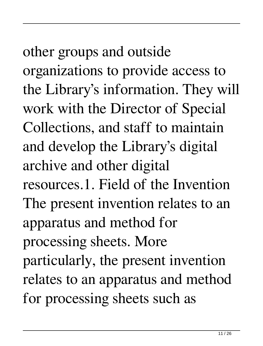other groups and outside organizations to provide access to the Library's information. They will work with the Director of Special Collections, and staff to maintain and develop the Library's digital archive and other digital resources.1. Field of the Invention The present invention relates to an apparatus and method for processing sheets. More particularly, the present invention relates to an apparatus and method for processing sheets such as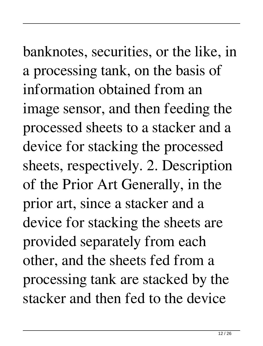banknotes, securities, or the like, in a processing tank, on the basis of information obtained from an image sensor, and then feeding the processed sheets to a stacker and a device for stacking the processed sheets, respectively. 2. Description of the Prior Art Generally, in the prior art, since a stacker and a device for stacking the sheets are provided separately from each other, and the sheets fed from a processing tank are stacked by the stacker and then fed to the device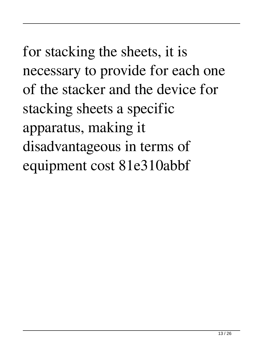for stacking the sheets, it is necessary to provide for each one of the stacker and the device for stacking sheets a specific apparatus, making it disadvantageous in terms of equipment cost 81e310abbf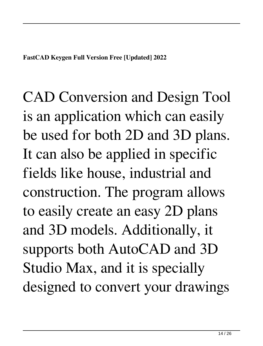CAD Conversion and Design Tool is an application which can easily be used for both 2D and 3D plans. It can also be applied in specific fields like house, industrial and construction. The program allows to easily create an easy 2D plans and 3D models. Additionally, it supports both AutoCAD and 3D Studio Max, and it is specially designed to convert your drawings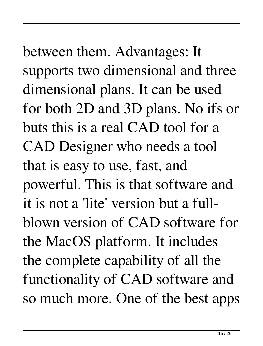# between them. Advantages: It supports two dimensional and three

dimensional plans. It can be used for both 2D and 3D plans. No ifs or buts this is a real CAD tool for a CAD Designer who needs a tool that is easy to use, fast, and powerful. This is that software and it is not a 'lite' version but a fullblown version of CAD software for the MacOS platform. It includes the complete capability of all the functionality of CAD software and so much more. One of the best apps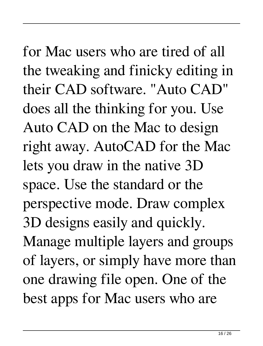#### for Mac users who are tired of all the tweaking and finicky editing in their CAD software. "Auto CAD" does all the thinking for you. Use Auto CAD on the Mac to design right away. AutoCAD for the Mac lets you draw in the native 3D space. Use the standard or the perspective mode. Draw complex 3D designs easily and quickly.

Manage multiple layers and groups of layers, or simply have more than one drawing file open. One of the best apps for Mac users who are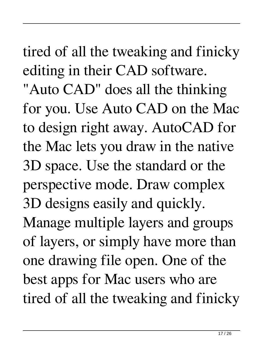tired of all the tweaking and finicky editing in their CAD software.

"Auto CAD" does all the thinking for you. Use Auto CAD on the Mac to design right away. AutoCAD for the Mac lets you draw in the native 3D space. Use the standard or the perspective mode. Draw complex 3D designs easily and quickly. Manage multiple layers and groups of layers, or simply have more than one drawing file open. One of the best apps for Mac users who are tired of all the tweaking and finicky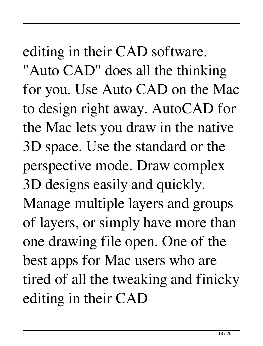#### editing in their CAD software.

"Auto CAD" does all the thinking for you. Use Auto CAD on the Mac to design right away. AutoCAD for the Mac lets you draw in the native 3D space. Use the standard or the perspective mode. Draw complex 3D designs easily and quickly. Manage multiple layers and groups of layers, or simply have more than one drawing file open. One of the best apps for Mac users who are tired of all the tweaking and finicky editing in their CAD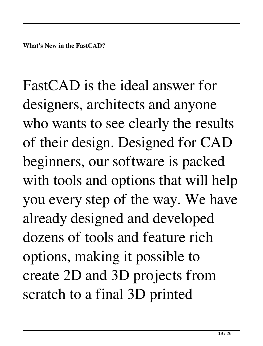FastCAD is the ideal answer for designers, architects and anyone who wants to see clearly the results of their design. Designed for CAD beginners, our software is packed with tools and options that will help you every step of the way. We have already designed and developed dozens of tools and feature rich options, making it possible to create 2D and 3D projects from scratch to a final 3D printed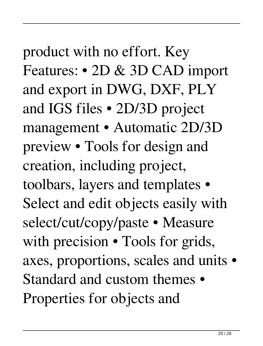product with no effort. Key Features: • 2D & 3D CAD import and export in DWG, DXF, PLY and IGS files • 2D/3D project management • Automatic 2D/3D preview • Tools for design and creation, including project, toolbars, layers and templates • Select and edit objects easily with select/cut/copy/paste • Measure with precision  $\bullet$  Tools for grids, axes, proportions, scales and units • Standard and custom themes • Properties for objects and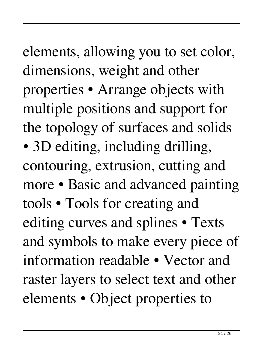elements, allowing you to set color, dimensions, weight and other properties • Arrange objects with multiple positions and support for the topology of surfaces and solids • 3D editing, including drilling, contouring, extrusion, cutting and more • Basic and advanced painting tools • Tools for creating and editing curves and splines • Texts and symbols to make every piece of information readable • Vector and raster layers to select text and other elements • Object properties to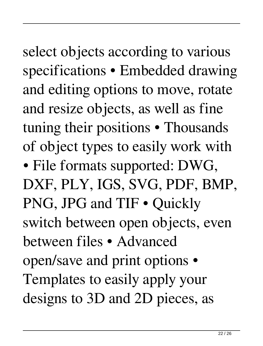select objects according to various specifications • Embedded drawing and editing options to move, rotate and resize objects, as well as fine tuning their positions • Thousands of object types to easily work with • File formats supported: DWG, DXF, PLY, IGS, SVG, PDF, BMP, PNG, JPG and TIF • Quickly switch between open objects, even between files • Advanced open/save and print options • Templates to easily apply your designs to 3D and 2D pieces, as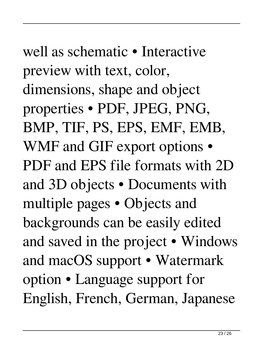#### well as schematic • Interactive preview with text, color, dimensions, shape and object properties • PDF, JPEG, PNG, BMP, TIF, PS, EPS, EMF, EMB, WMF and GIF export options • PDF and EPS file formats with 2D and 3D objects • Documents with multiple pages • Objects and backgrounds can be easily edited and saved in the project • Windows and macOS support • Watermark option • Language support for English, French, German, Japanese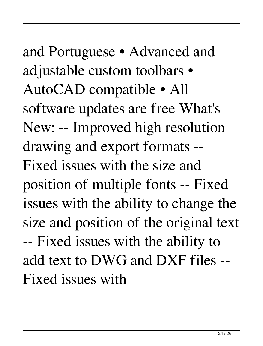and Portuguese • Advanced and adjustable custom toolbars • AutoCAD compatible • All software updates are free What's New: -- Improved high resolution drawing and export formats -- Fixed issues with the size and position of multiple fonts -- Fixed issues with the ability to change the size and position of the original text -- Fixed issues with the ability to add text to DWG and DXF files -- Fixed issues with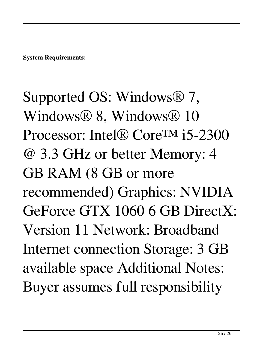**System Requirements:**

Supported OS: Windows® 7, Windows® 8, Windows® 10 Processor: Intel® Core™ i5-2300 @ 3.3 GHz or better Memory: 4 GB RAM (8 GB or more recommended) Graphics: NVIDIA GeForce GTX 1060 6 GB DirectX: Version 11 Network: Broadband Internet connection Storage: 3 GB available space Additional Notes: Buyer assumes full responsibility